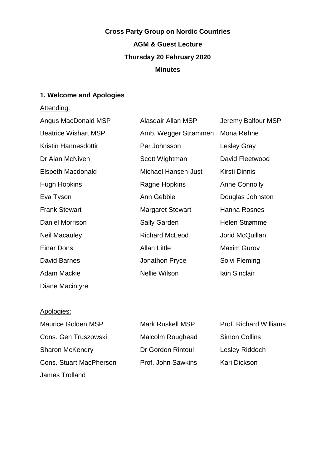# **Cross Party Group on Nordic Countries AGM & Guest Lecture Thursday 20 February 2020 Minutes**

## **1. Welcome and Apologies**

## Attending:

| Angus MacDonald MSP         | Alasdair Allan MSP      | Jeremy Balfour MSP   |
|-----------------------------|-------------------------|----------------------|
| <b>Beatrice Wishart MSP</b> | Amb. Wegger Strømmen    | Mona Røhne           |
| Kristin Hannesdottir        | Per Johnsson            | <b>Lesley Gray</b>   |
| Dr Alan McNiven             | Scott Wightman          | David Fleetwood      |
| Elspeth Macdonald           | Michael Hansen-Just     | Kirsti Dinnis        |
| Hugh Hopkins                | Ragne Hopkins           | <b>Anne Connolly</b> |
| Eva Tyson                   | Ann Gebbie              | Douglas Johnston     |
| <b>Frank Stewart</b>        | <b>Margaret Stewart</b> | Hanna Rosnes         |
| Daniel Morrison             | <b>Sally Garden</b>     | Helen Strømme        |
| <b>Neil Macauley</b>        | <b>Richard McLeod</b>   | Jorid McQuillan      |
| Einar Dons                  | <b>Allan Little</b>     | <b>Maxim Gurov</b>   |
| David Barnes                | Jonathon Pryce          | Solvi Fleming        |
| Adam Mackie                 | Nellie Wilson           | <b>lain Sinclair</b> |
|                             |                         |                      |

#### Apologies:

Diane Macintyre

Maurice Golden MSP Mark Ruskell MSP Prof. Richard Williams Cons. Gen Truszowski Malcolm Roughead Simon Collins Sharon McKendry **Dr Gordon Rintoul** Lesley Riddoch Cons. Stuart MacPherson Prof. John Sawkins Kari Dickson James Trolland